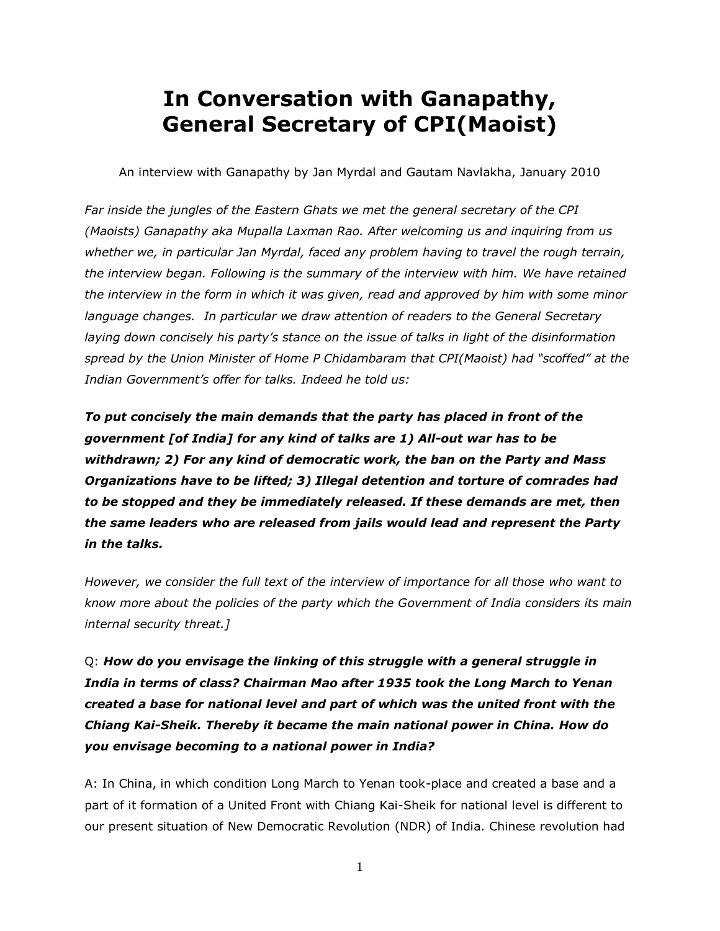# **In Conversation with Ganapathy, General Secretary of CPI(Maoist)**

An interview with Ganapathy by Jan Myrdal and Gautam Navlakha, January 2010

*Far inside the jungles of the Eastern Ghats we met the general secretary of the CPI (Maoists) Ganapathy aka Mupalla Laxman Rao. After welcoming us and inquiring from us whether we, in particular Jan Myrdal, faced any problem having to travel the rough terrain, the interview began. Following is the summary of the interview with him. We have retained the interview in the form in which it was given, read and approved by him with some minor language changes. In particular we draw attention of readers to the General Secretary laying down concisely his party's stance on the issue of talks in light of the disinformation spread by the Union Minister of Home P Chidambaram that CPI(Maoist) had "scoffed" at the Indian Government's offer for talks. Indeed he told us:*

*To put concisely the main demands that the party has placed in front of the government [of India] for any kind of talks are 1) All-out war has to be withdrawn; 2) For any kind of democratic work, the ban on the Party and Mass Organizations have to be lifted; 3) Illegal detention and torture of comrades had to be stopped and they be immediately released. If these demands are met, then the same leaders who are released from jails would lead and represent the Party in the talks.*

*However, we consider the full text of the interview of importance for all those who want to know more about the policies of the party which the Government of India considers its main internal security threat.]*

Q: *How do you envisage the linking of this struggle with a general struggle in India in terms of class? Chairman Mao after 1935 took the Long March to Yenan created a base for national level and part of which was the united front with the Chiang Kai-Sheik. Thereby it became the main national power in China. How do you envisage becoming to a national power in India?*

A: In China, in which condition Long March to Yenan took-place and created a base and a part of it formation of a United Front with Chiang Kai-Sheik for national level is different to our present situation of New Democratic Revolution (NDR) of India. Chinese revolution had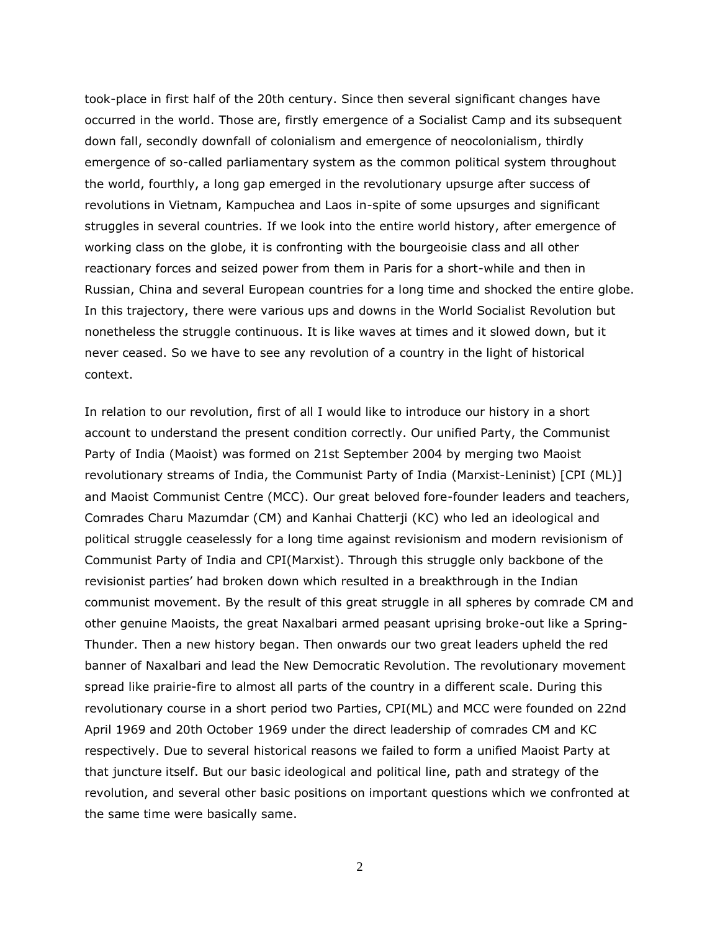took-place in first half of the 20th century. Since then several significant changes have occurred in the world. Those are, firstly emergence of a Socialist Camp and its subsequent down fall, secondly downfall of colonialism and emergence of neocolonialism, thirdly emergence of so-called parliamentary system as the common political system throughout the world, fourthly, a long gap emerged in the revolutionary upsurge after success of revolutions in Vietnam, Kampuchea and Laos in-spite of some upsurges and significant struggles in several countries. If we look into the entire world history, after emergence of working class on the globe, it is confronting with the bourgeoisie class and all other reactionary forces and seized power from them in Paris for a short-while and then in Russian, China and several European countries for a long time and shocked the entire globe. In this trajectory, there were various ups and downs in the World Socialist Revolution but nonetheless the struggle continuous. It is like waves at times and it slowed down, but it never ceased. So we have to see any revolution of a country in the light of historical context.

In relation to our revolution, first of all I would like to introduce our history in a short account to understand the present condition correctly. Our unified Party, the Communist Party of India (Maoist) was formed on 21st September 2004 by merging two Maoist revolutionary streams of India, the Communist Party of India (Marxist-Leninist) [CPI (ML)] and Maoist Communist Centre (MCC). Our great beloved fore-founder leaders and teachers, Comrades Charu Mazumdar (CM) and Kanhai Chatterji (KC) who led an ideological and political struggle ceaselessly for a long time against revisionism and modern revisionism of Communist Party of India and CPI(Marxist). Through this struggle only backbone of the revisionist parties' had broken down which resulted in a breakthrough in the Indian communist movement. By the result of this great struggle in all spheres by comrade CM and other genuine Maoists, the great Naxalbari armed peasant uprising broke-out like a Spring-Thunder. Then a new history began. Then onwards our two great leaders upheld the red banner of Naxalbari and lead the New Democratic Revolution. The revolutionary movement spread like prairie-fire to almost all parts of the country in a different scale. During this revolutionary course in a short period two Parties, CPI(ML) and MCC were founded on 22nd April 1969 and 20th October 1969 under the direct leadership of comrades CM and KC respectively. Due to several historical reasons we failed to form a unified Maoist Party at that juncture itself. But our basic ideological and political line, path and strategy of the revolution, and several other basic positions on important questions which we confronted at the same time were basically same.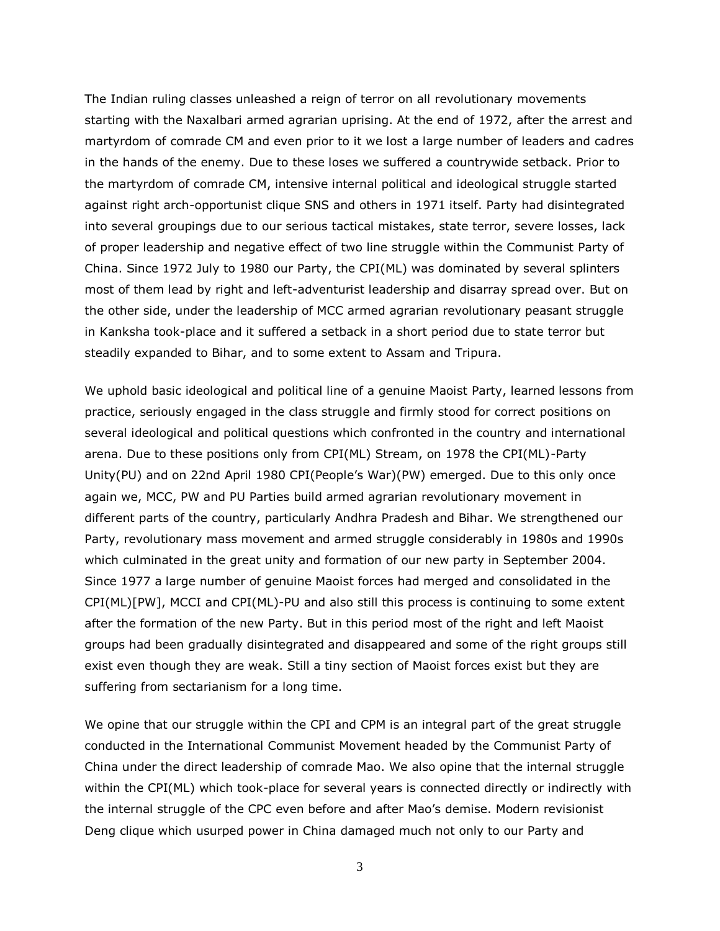The Indian ruling classes unleashed a reign of terror on all revolutionary movements starting with the Naxalbari armed agrarian uprising. At the end of 1972, after the arrest and martyrdom of comrade CM and even prior to it we lost a large number of leaders and cadres in the hands of the enemy. Due to these loses we suffered a countrywide setback. Prior to the martyrdom of comrade CM, intensive internal political and ideological struggle started against right arch-opportunist clique SNS and others in 1971 itself. Party had disintegrated into several groupings due to our serious tactical mistakes, state terror, severe losses, lack of proper leadership and negative effect of two line struggle within the Communist Party of China. Since 1972 July to 1980 our Party, the CPI(ML) was dominated by several splinters most of them lead by right and left-adventurist leadership and disarray spread over. But on the other side, under the leadership of MCC armed agrarian revolutionary peasant struggle in Kanksha took-place and it suffered a setback in a short period due to state terror but steadily expanded to Bihar, and to some extent to Assam and Tripura.

We uphold basic ideological and political line of a genuine Maoist Party, learned lessons from practice, seriously engaged in the class struggle and firmly stood for correct positions on several ideological and political questions which confronted in the country and international arena. Due to these positions only from CPI(ML) Stream, on 1978 the CPI(ML)-Party Unity(PU) and on 22nd April 1980 CPI(People's War)(PW) emerged. Due to this only once again we, MCC, PW and PU Parties build armed agrarian revolutionary movement in different parts of the country, particularly Andhra Pradesh and Bihar. We strengthened our Party, revolutionary mass movement and armed struggle considerably in 1980s and 1990s which culminated in the great unity and formation of our new party in September 2004. Since 1977 a large number of genuine Maoist forces had merged and consolidated in the CPI(ML)[PW], MCCI and CPI(ML)-PU and also still this process is continuing to some extent after the formation of the new Party. But in this period most of the right and left Maoist groups had been gradually disintegrated and disappeared and some of the right groups still exist even though they are weak. Still a tiny section of Maoist forces exist but they are suffering from sectarianism for a long time.

We opine that our struggle within the CPI and CPM is an integral part of the great struggle conducted in the International Communist Movement headed by the Communist Party of China under the direct leadership of comrade Mao. We also opine that the internal struggle within the CPI(ML) which took-place for several years is connected directly or indirectly with the internal struggle of the CPC even before and after Mao's demise. Modern revisionist Deng clique which usurped power in China damaged much not only to our Party and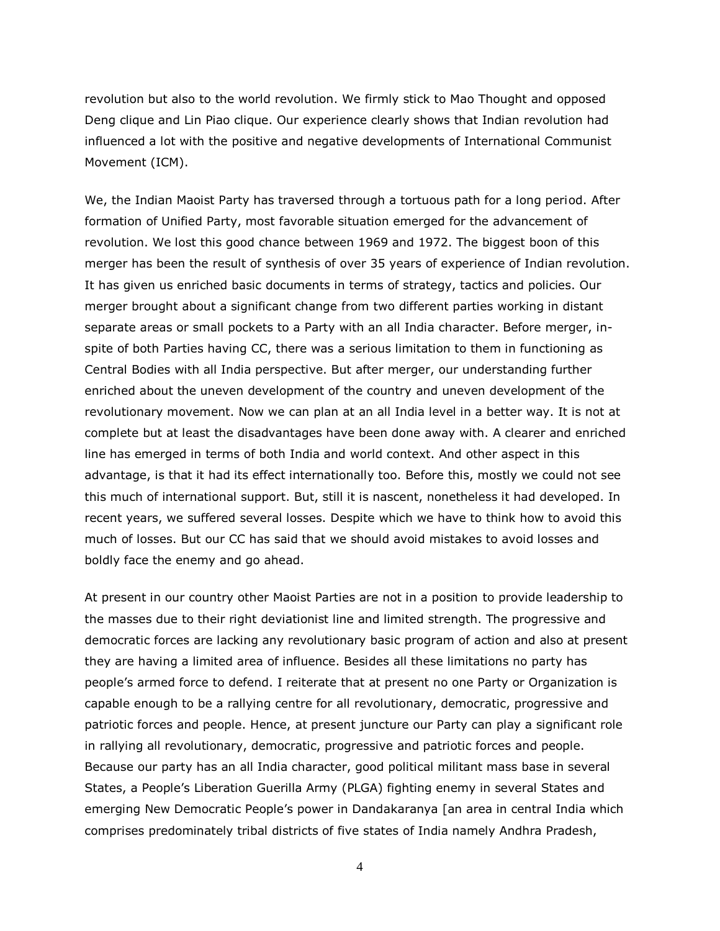revolution but also to the world revolution. We firmly stick to Mao Thought and opposed Deng clique and Lin Piao clique. Our experience clearly shows that Indian revolution had influenced a lot with the positive and negative developments of International Communist Movement (ICM).

We, the Indian Maoist Party has traversed through a tortuous path for a long period. After formation of Unified Party, most favorable situation emerged for the advancement of revolution. We lost this good chance between 1969 and 1972. The biggest boon of this merger has been the result of synthesis of over 35 years of experience of Indian revolution. It has given us enriched basic documents in terms of strategy, tactics and policies. Our merger brought about a significant change from two different parties working in distant separate areas or small pockets to a Party with an all India character. Before merger, inspite of both Parties having CC, there was a serious limitation to them in functioning as Central Bodies with all India perspective. But after merger, our understanding further enriched about the uneven development of the country and uneven development of the revolutionary movement. Now we can plan at an all India level in a better way. It is not at complete but at least the disadvantages have been done away with. A clearer and enriched line has emerged in terms of both India and world context. And other aspect in this advantage, is that it had its effect internationally too. Before this, mostly we could not see this much of international support. But, still it is nascent, nonetheless it had developed. In recent years, we suffered several losses. Despite which we have to think how to avoid this much of losses. But our CC has said that we should avoid mistakes to avoid losses and boldly face the enemy and go ahead.

At present in our country other Maoist Parties are not in a position to provide leadership to the masses due to their right deviationist line and limited strength. The progressive and democratic forces are lacking any revolutionary basic program of action and also at present they are having a limited area of influence. Besides all these limitations no party has people's armed force to defend. I reiterate that at present no one Party or Organization is capable enough to be a rallying centre for all revolutionary, democratic, progressive and patriotic forces and people. Hence, at present juncture our Party can play a significant role in rallying all revolutionary, democratic, progressive and patriotic forces and people. Because our party has an all India character, good political militant mass base in several States, a People's Liberation Guerilla Army (PLGA) fighting enemy in several States and emerging New Democratic People's power in Dandakaranya [an area in central India which comprises predominately tribal districts of five states of India namely Andhra Pradesh,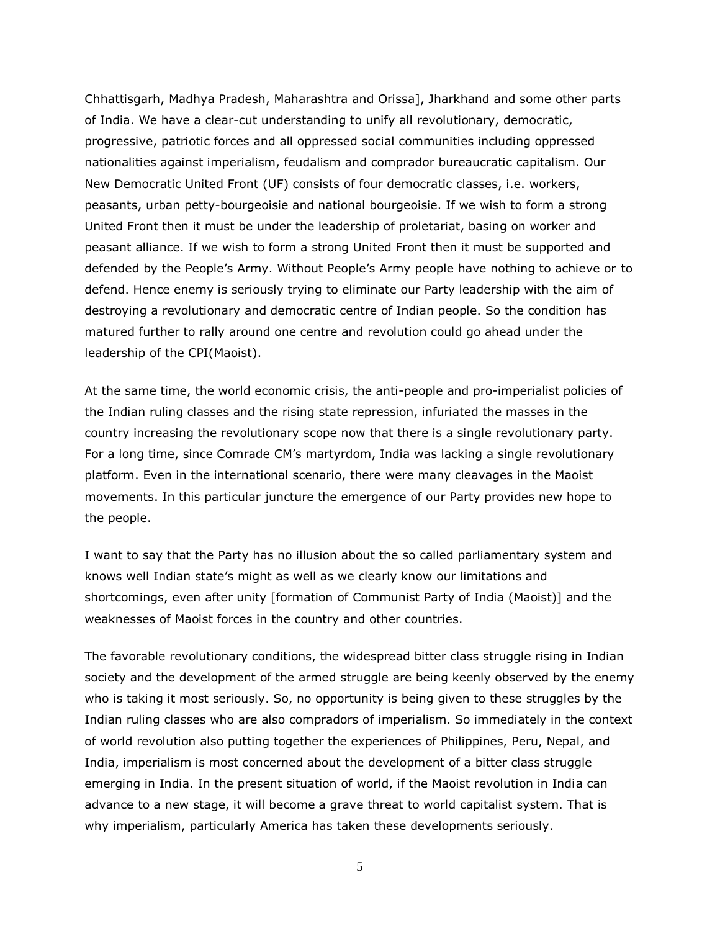Chhattisgarh, Madhya Pradesh, Maharashtra and Orissa], Jharkhand and some other parts of India. We have a clear-cut understanding to unify all revolutionary, democratic, progressive, patriotic forces and all oppressed social communities including oppressed nationalities against imperialism, feudalism and comprador bureaucratic capitalism. Our New Democratic United Front (UF) consists of four democratic classes, i.e. workers, peasants, urban petty-bourgeoisie and national bourgeoisie. If we wish to form a strong United Front then it must be under the leadership of proletariat, basing on worker and peasant alliance. If we wish to form a strong United Front then it must be supported and defended by the People's Army. Without People's Army people have nothing to achieve or to defend. Hence enemy is seriously trying to eliminate our Party leadership with the aim of destroying a revolutionary and democratic centre of Indian people. So the condition has matured further to rally around one centre and revolution could go ahead under the leadership of the CPI(Maoist).

At the same time, the world economic crisis, the anti-people and pro-imperialist policies of the Indian ruling classes and the rising state repression, infuriated the masses in the country increasing the revolutionary scope now that there is a single revolutionary party. For a long time, since Comrade CM's martyrdom, India was lacking a single revolutionary platform. Even in the international scenario, there were many cleavages in the Maoist movements. In this particular juncture the emergence of our Party provides new hope to the people.

I want to say that the Party has no illusion about the so called parliamentary system and knows well Indian state's might as well as we clearly know our limitations and shortcomings, even after unity [formation of Communist Party of India (Maoist)] and the weaknesses of Maoist forces in the country and other countries.

The favorable revolutionary conditions, the widespread bitter class struggle rising in Indian society and the development of the armed struggle are being keenly observed by the enemy who is taking it most seriously. So, no opportunity is being given to these struggles by the Indian ruling classes who are also compradors of imperialism. So immediately in the context of world revolution also putting together the experiences of Philippines, Peru, Nepal, and India, imperialism is most concerned about the development of a bitter class struggle emerging in India. In the present situation of world, if the Maoist revolution in India can advance to a new stage, it will become a grave threat to world capitalist system. That is why imperialism, particularly America has taken these developments seriously.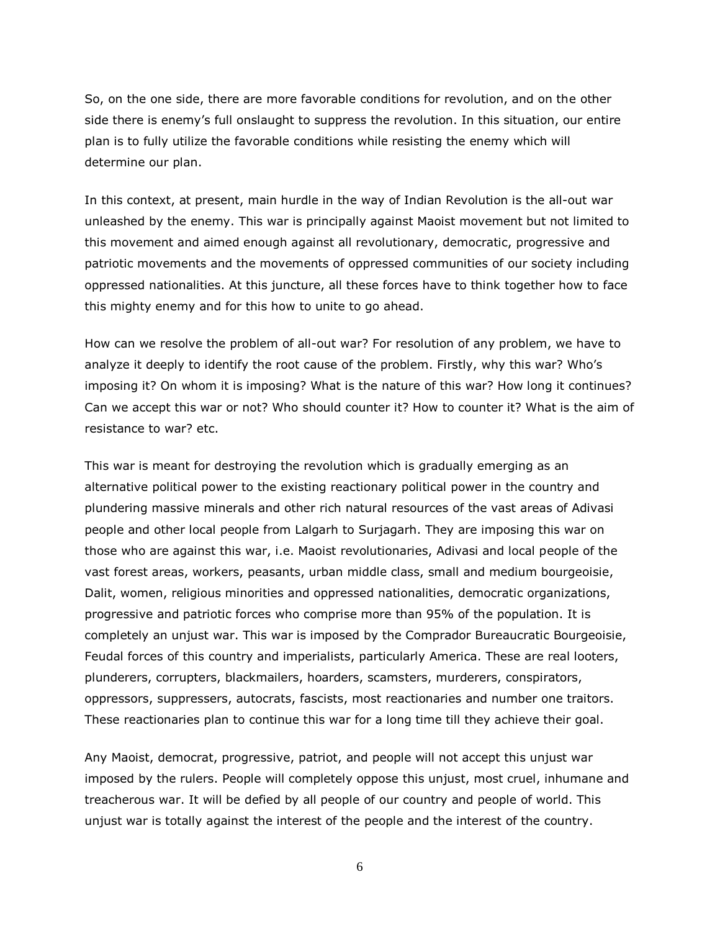So, on the one side, there are more favorable conditions for revolution, and on the other side there is enemy's full onslaught to suppress the revolution. In this situation, our entire plan is to fully utilize the favorable conditions while resisting the enemy which will determine our plan.

In this context, at present, main hurdle in the way of Indian Revolution is the all-out war unleashed by the enemy. This war is principally against Maoist movement but not limited to this movement and aimed enough against all revolutionary, democratic, progressive and patriotic movements and the movements of oppressed communities of our society including oppressed nationalities. At this juncture, all these forces have to think together how to face this mighty enemy and for this how to unite to go ahead.

How can we resolve the problem of all-out war? For resolution of any problem, we have to analyze it deeply to identify the root cause of the problem. Firstly, why this war? Who's imposing it? On whom it is imposing? What is the nature of this war? How long it continues? Can we accept this war or not? Who should counter it? How to counter it? What is the aim of resistance to war? etc.

This war is meant for destroying the revolution which is gradually emerging as an alternative political power to the existing reactionary political power in the country and plundering massive minerals and other rich natural resources of the vast areas of Adivasi people and other local people from Lalgarh to Surjagarh. They are imposing this war on those who are against this war, i.e. Maoist revolutionaries, Adivasi and local people of the vast forest areas, workers, peasants, urban middle class, small and medium bourgeoisie, Dalit, women, religious minorities and oppressed nationalities, democratic organizations, progressive and patriotic forces who comprise more than 95% of the population. It is completely an unjust war. This war is imposed by the Comprador Bureaucratic Bourgeoisie, Feudal forces of this country and imperialists, particularly America. These are real looters, plunderers, corrupters, blackmailers, hoarders, scamsters, murderers, conspirators, oppressors, suppressers, autocrats, fascists, most reactionaries and number one traitors. These reactionaries plan to continue this war for a long time till they achieve their goal.

Any Maoist, democrat, progressive, patriot, and people will not accept this unjust war imposed by the rulers. People will completely oppose this unjust, most cruel, inhumane and treacherous war. It will be defied by all people of our country and people of world. This unjust war is totally against the interest of the people and the interest of the country.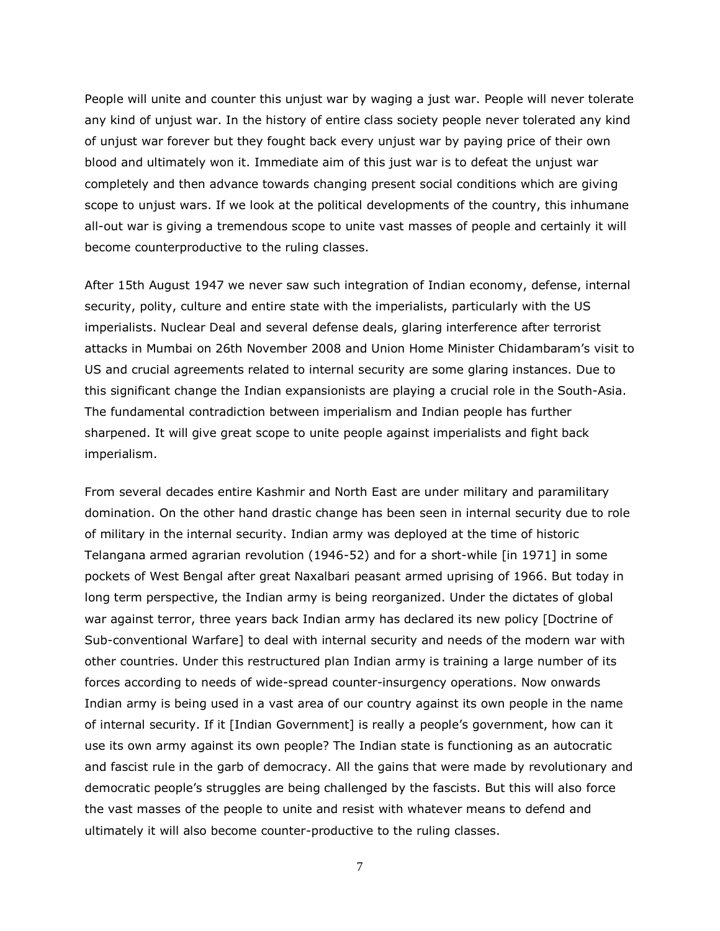People will unite and counter this unjust war by waging a just war. People will never tolerate any kind of unjust war. In the history of entire class society people never tolerated any kind of unjust war forever but they fought back every unjust war by paying price of their own blood and ultimately won it. Immediate aim of this just war is to defeat the unjust war completely and then advance towards changing present social conditions which are giving scope to unjust wars. If we look at the political developments of the country, this inhumane all-out war is giving a tremendous scope to unite vast masses of people and certainly it will become counterproductive to the ruling classes.

After 15th August 1947 we never saw such integration of Indian economy, defense, internal security, polity, culture and entire state with the imperialists, particularly with the US imperialists. Nuclear Deal and several defense deals, glaring interference after terrorist attacks in Mumbai on 26th November 2008 and Union Home Minister Chidambaram's visit to US and crucial agreements related to internal security are some glaring instances. Due to this significant change the Indian expansionists are playing a crucial role in the South-Asia. The fundamental contradiction between imperialism and Indian people has further sharpened. It will give great scope to unite people against imperialists and fight back imperialism.

From several decades entire Kashmir and North East are under military and paramilitary domination. On the other hand drastic change has been seen in internal security due to role of military in the internal security. Indian army was deployed at the time of historic Telangana armed agrarian revolution (1946-52) and for a short-while [in 1971] in some pockets of West Bengal after great Naxalbari peasant armed uprising of 1966. But today in long term perspective, the Indian army is being reorganized. Under the dictates of global war against terror, three years back Indian army has declared its new policy [Doctrine of Sub-conventional Warfare] to deal with internal security and needs of the modern war with other countries. Under this restructured plan Indian army is training a large number of its forces according to needs of wide-spread counter-insurgency operations. Now onwards Indian army is being used in a vast area of our country against its own people in the name of internal security. If it [Indian Government] is really a people's government, how can it use its own army against its own people? The Indian state is functioning as an autocratic and fascist rule in the garb of democracy. All the gains that were made by revolutionary and democratic people's struggles are being challenged by the fascists. But this will also force the vast masses of the people to unite and resist with whatever means to defend and ultimately it will also become counter-productive to the ruling classes.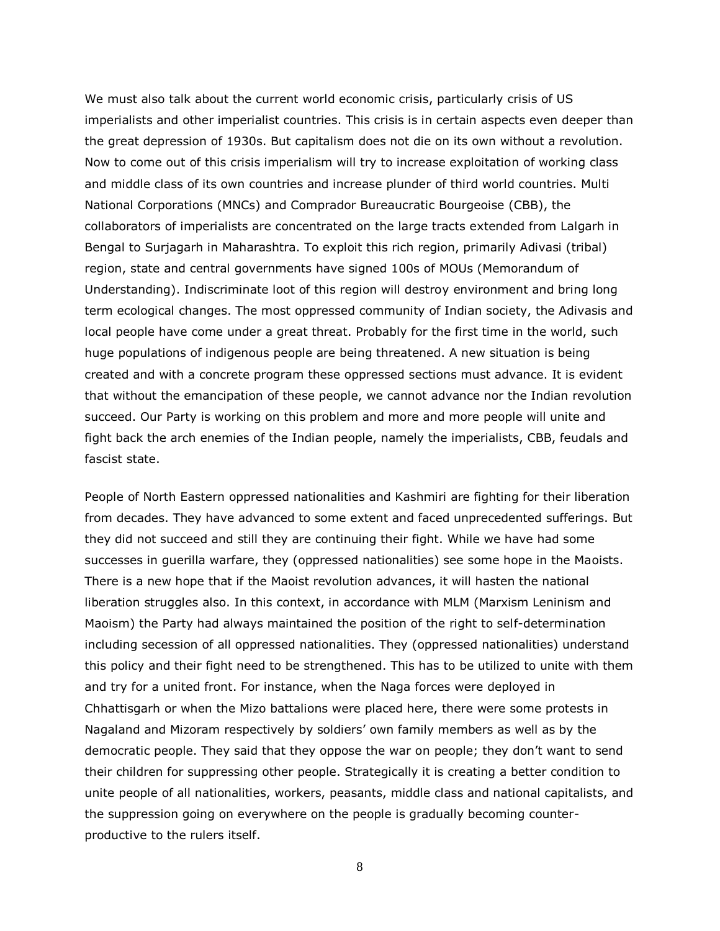We must also talk about the current world economic crisis, particularly crisis of US imperialists and other imperialist countries. This crisis is in certain aspects even deeper than the great depression of 1930s. But capitalism does not die on its own without a revolution. Now to come out of this crisis imperialism will try to increase exploitation of working class and middle class of its own countries and increase plunder of third world countries. Multi National Corporations (MNCs) and Comprador Bureaucratic Bourgeoise (CBB), the collaborators of imperialists are concentrated on the large tracts extended from Lalgarh in Bengal to Surjagarh in Maharashtra. To exploit this rich region, primarily Adivasi (tribal) region, state and central governments have signed 100s of MOUs (Memorandum of Understanding). Indiscriminate loot of this region will destroy environment and bring long term ecological changes. The most oppressed community of Indian society, the Adivasis and local people have come under a great threat. Probably for the first time in the world, such huge populations of indigenous people are being threatened. A new situation is being created and with a concrete program these oppressed sections must advance. It is evident that without the emancipation of these people, we cannot advance nor the Indian revolution succeed. Our Party is working on this problem and more and more people will unite and fight back the arch enemies of the Indian people, namely the imperialists, CBB, feudals and fascist state.

People of North Eastern oppressed nationalities and Kashmiri are fighting for their liberation from decades. They have advanced to some extent and faced unprecedented sufferings. But they did not succeed and still they are continuing their fight. While we have had some successes in guerilla warfare, they (oppressed nationalities) see some hope in the Maoists. There is a new hope that if the Maoist revolution advances, it will hasten the national liberation struggles also. In this context, in accordance with MLM (Marxism Leninism and Maoism) the Party had always maintained the position of the right to self-determination including secession of all oppressed nationalities. They (oppressed nationalities) understand this policy and their fight need to be strengthened. This has to be utilized to unite with them and try for a united front. For instance, when the Naga forces were deployed in Chhattisgarh or when the Mizo battalions were placed here, there were some protests in Nagaland and Mizoram respectively by soldiers' own family members as well as by the democratic people. They said that they oppose the war on people; they don't want to send their children for suppressing other people. Strategically it is creating a better condition to unite people of all nationalities, workers, peasants, middle class and national capitalists, and the suppression going on everywhere on the people is gradually becoming counterproductive to the rulers itself.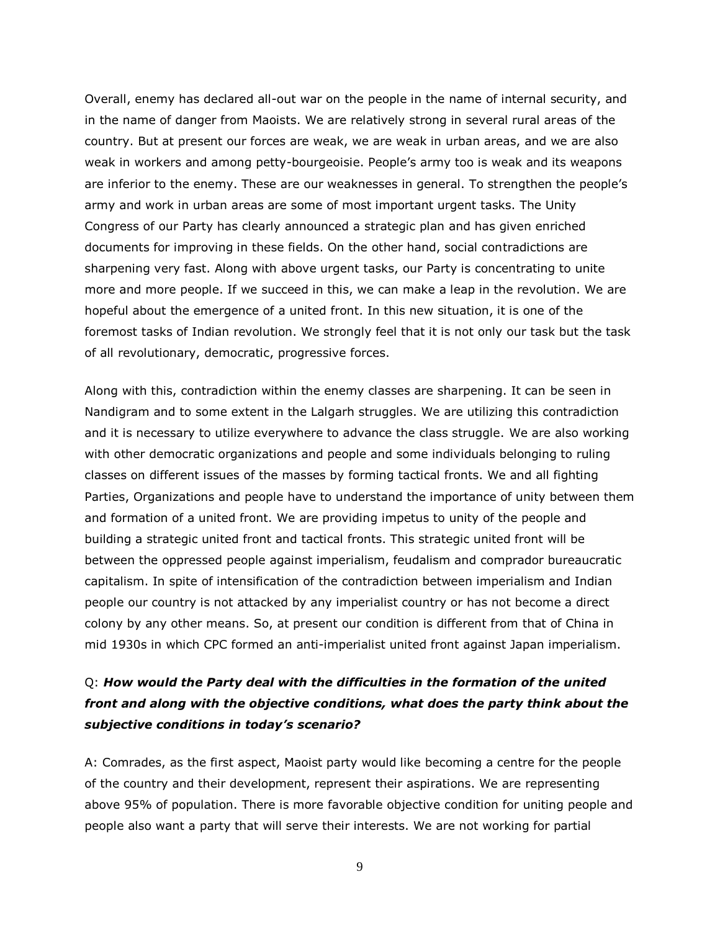Overall, enemy has declared all-out war on the people in the name of internal security, and in the name of danger from Maoists. We are relatively strong in several rural areas of the country. But at present our forces are weak, we are weak in urban areas, and we are also weak in workers and among petty-bourgeoisie. People's army too is weak and its weapons are inferior to the enemy. These are our weaknesses in general. To strengthen the people's army and work in urban areas are some of most important urgent tasks. The Unity Congress of our Party has clearly announced a strategic plan and has given enriched documents for improving in these fields. On the other hand, social contradictions are sharpening very fast. Along with above urgent tasks, our Party is concentrating to unite more and more people. If we succeed in this, we can make a leap in the revolution. We are hopeful about the emergence of a united front. In this new situation, it is one of the foremost tasks of Indian revolution. We strongly feel that it is not only our task but the task of all revolutionary, democratic, progressive forces.

Along with this, contradiction within the enemy classes are sharpening. It can be seen in Nandigram and to some extent in the Lalgarh struggles. We are utilizing this contradiction and it is necessary to utilize everywhere to advance the class struggle. We are also working with other democratic organizations and people and some individuals belonging to ruling classes on different issues of the masses by forming tactical fronts. We and all fighting Parties, Organizations and people have to understand the importance of unity between them and formation of a united front. We are providing impetus to unity of the people and building a strategic united front and tactical fronts. This strategic united front will be between the oppressed people against imperialism, feudalism and comprador bureaucratic capitalism. In spite of intensification of the contradiction between imperialism and Indian people our country is not attacked by any imperialist country or has not become a direct colony by any other means. So, at present our condition is different from that of China in mid 1930s in which CPC formed an anti-imperialist united front against Japan imperialism.

# Q: *How would the Party deal with the difficulties in the formation of the united front and along with the objective conditions, what does the party think about the subjective conditions in today's scenario?*

A: Comrades, as the first aspect, Maoist party would like becoming a centre for the people of the country and their development, represent their aspirations. We are representing above 95% of population. There is more favorable objective condition for uniting people and people also want a party that will serve their interests. We are not working for partial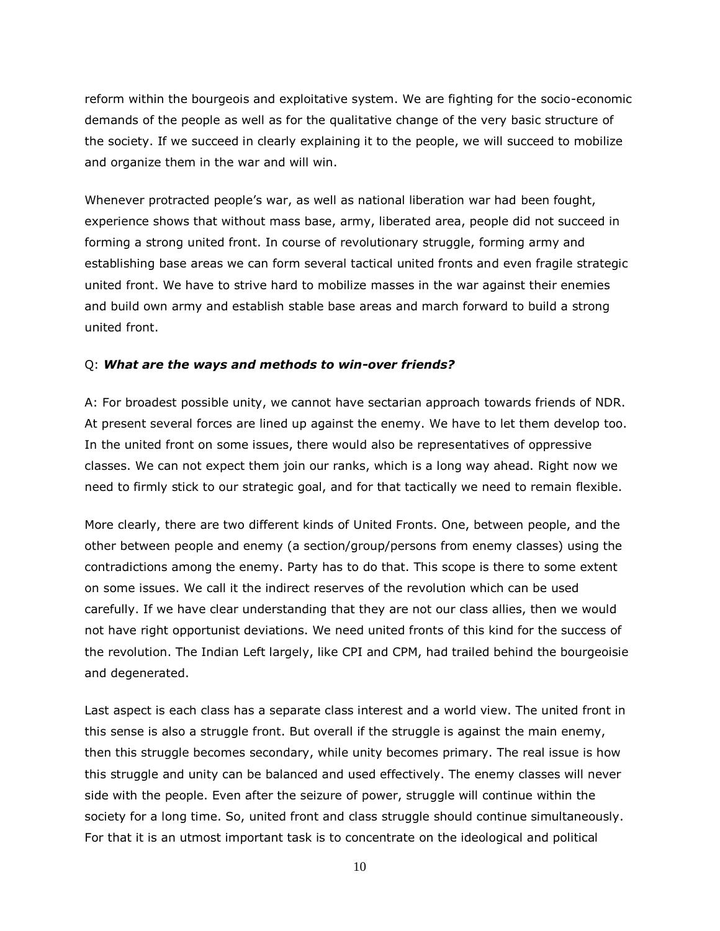reform within the bourgeois and exploitative system. We are fighting for the socio-economic demands of the people as well as for the qualitative change of the very basic structure of the society. If we succeed in clearly explaining it to the people, we will succeed to mobilize and organize them in the war and will win.

Whenever protracted people's war, as well as national liberation war had been fought, experience shows that without mass base, army, liberated area, people did not succeed in forming a strong united front. In course of revolutionary struggle, forming army and establishing base areas we can form several tactical united fronts and even fragile strategic united front. We have to strive hard to mobilize masses in the war against their enemies and build own army and establish stable base areas and march forward to build a strong united front.

#### Q: *What are the ways and methods to win-over friends?*

A: For broadest possible unity, we cannot have sectarian approach towards friends of NDR. At present several forces are lined up against the enemy. We have to let them develop too. In the united front on some issues, there would also be representatives of oppressive classes. We can not expect them join our ranks, which is a long way ahead. Right now we need to firmly stick to our strategic goal, and for that tactically we need to remain flexible.

More clearly, there are two different kinds of United Fronts. One, between people, and the other between people and enemy (a section/group/persons from enemy classes) using the contradictions among the enemy. Party has to do that. This scope is there to some extent on some issues. We call it the indirect reserves of the revolution which can be used carefully. If we have clear understanding that they are not our class allies, then we would not have right opportunist deviations. We need united fronts of this kind for the success of the revolution. The Indian Left largely, like CPI and CPM, had trailed behind the bourgeoisie and degenerated.

Last aspect is each class has a separate class interest and a world view. The united front in this sense is also a struggle front. But overall if the struggle is against the main enemy, then this struggle becomes secondary, while unity becomes primary. The real issue is how this struggle and unity can be balanced and used effectively. The enemy classes will never side with the people. Even after the seizure of power, struggle will continue within the society for a long time. So, united front and class struggle should continue simultaneously. For that it is an utmost important task is to concentrate on the ideological and political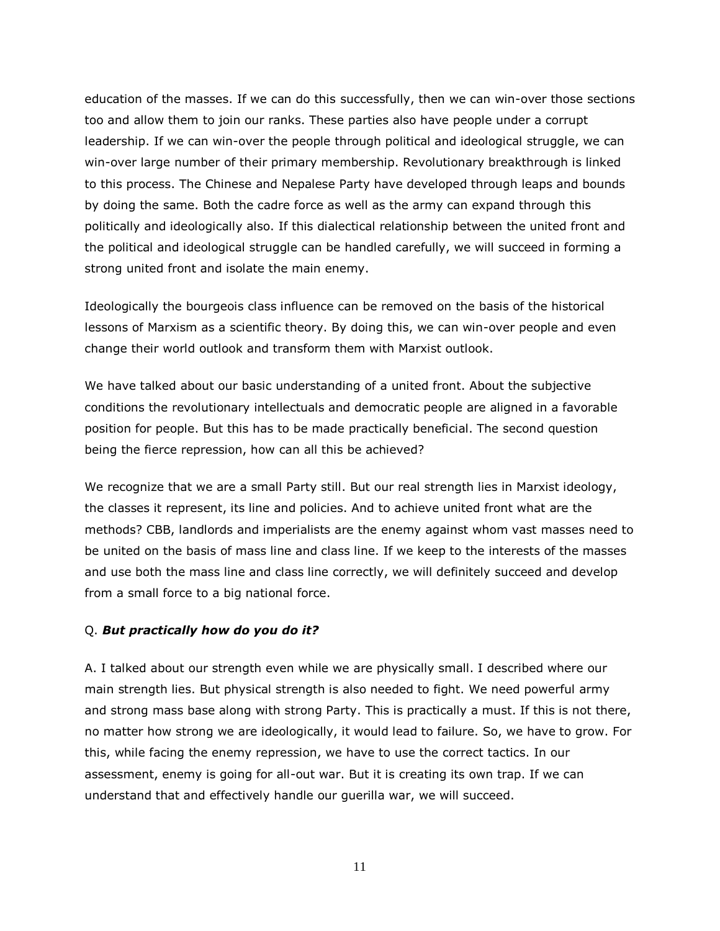education of the masses. If we can do this successfully, then we can win-over those sections too and allow them to join our ranks. These parties also have people under a corrupt leadership. If we can win-over the people through political and ideological struggle, we can win-over large number of their primary membership. Revolutionary breakthrough is linked to this process. The Chinese and Nepalese Party have developed through leaps and bounds by doing the same. Both the cadre force as well as the army can expand through this politically and ideologically also. If this dialectical relationship between the united front and the political and ideological struggle can be handled carefully, we will succeed in forming a strong united front and isolate the main enemy.

Ideologically the bourgeois class influence can be removed on the basis of the historical lessons of Marxism as a scientific theory. By doing this, we can win-over people and even change their world outlook and transform them with Marxist outlook.

We have talked about our basic understanding of a united front. About the subjective conditions the revolutionary intellectuals and democratic people are aligned in a favorable position for people. But this has to be made practically beneficial. The second question being the fierce repression, how can all this be achieved?

We recognize that we are a small Party still. But our real strength lies in Marxist ideology, the classes it represent, its line and policies. And to achieve united front what are the methods? CBB, landlords and imperialists are the enemy against whom vast masses need to be united on the basis of mass line and class line. If we keep to the interests of the masses and use both the mass line and class line correctly, we will definitely succeed and develop from a small force to a big national force.

#### Q. *But practically how do you do it?*

A. I talked about our strength even while we are physically small. I described where our main strength lies. But physical strength is also needed to fight. We need powerful army and strong mass base along with strong Party. This is practically a must. If this is not there, no matter how strong we are ideologically, it would lead to failure. So, we have to grow. For this, while facing the enemy repression, we have to use the correct tactics. In our assessment, enemy is going for all-out war. But it is creating its own trap. If we can understand that and effectively handle our guerilla war, we will succeed.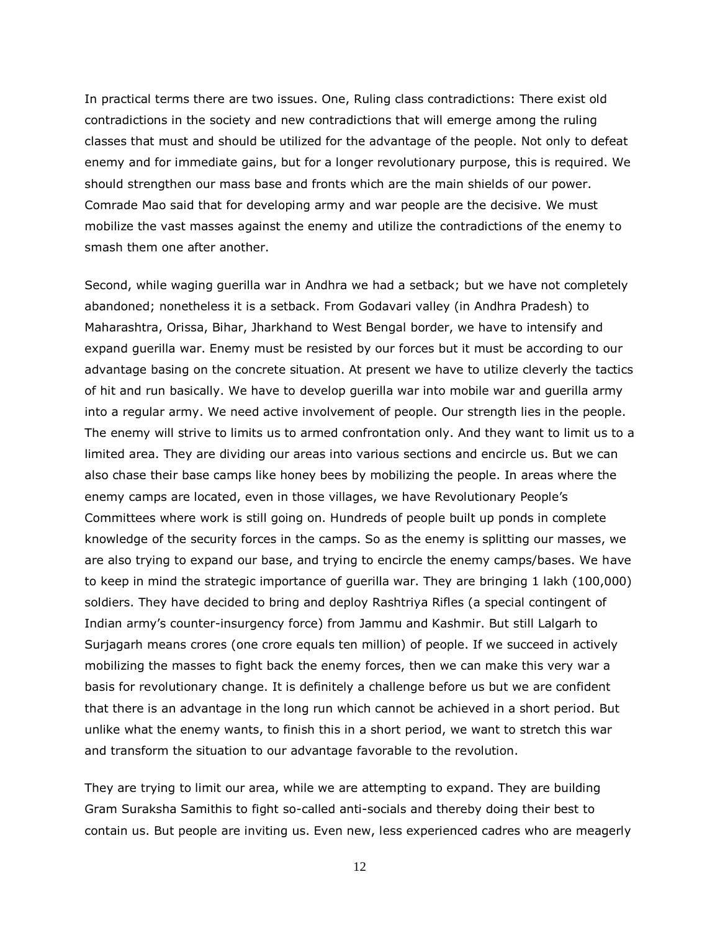In practical terms there are two issues. One, Ruling class contradictions: There exist old contradictions in the society and new contradictions that will emerge among the ruling classes that must and should be utilized for the advantage of the people. Not only to defeat enemy and for immediate gains, but for a longer revolutionary purpose, this is required. We should strengthen our mass base and fronts which are the main shields of our power. Comrade Mao said that for developing army and war people are the decisive. We must mobilize the vast masses against the enemy and utilize the contradictions of the enemy to smash them one after another.

Second, while waging guerilla war in Andhra we had a setback; but we have not completely abandoned; nonetheless it is a setback. From Godavari valley (in Andhra Pradesh) to Maharashtra, Orissa, Bihar, Jharkhand to West Bengal border, we have to intensify and expand guerilla war. Enemy must be resisted by our forces but it must be according to our advantage basing on the concrete situation. At present we have to utilize cleverly the tactics of hit and run basically. We have to develop guerilla war into mobile war and guerilla army into a regular army. We need active involvement of people. Our strength lies in the people. The enemy will strive to limits us to armed confrontation only. And they want to limit us to a limited area. They are dividing our areas into various sections and encircle us. But we can also chase their base camps like honey bees by mobilizing the people. In areas where the enemy camps are located, even in those villages, we have Revolutionary People's Committees where work is still going on. Hundreds of people built up ponds in complete knowledge of the security forces in the camps. So as the enemy is splitting our masses, we are also trying to expand our base, and trying to encircle the enemy camps/bases. We have to keep in mind the strategic importance of guerilla war. They are bringing 1 lakh (100,000) soldiers. They have decided to bring and deploy Rashtriya Rifles (a special contingent of Indian army's counter-insurgency force) from Jammu and Kashmir. But still Lalgarh to Surjagarh means crores (one crore equals ten million) of people. If we succeed in actively mobilizing the masses to fight back the enemy forces, then we can make this very war a basis for revolutionary change. It is definitely a challenge before us but we are confident that there is an advantage in the long run which cannot be achieved in a short period. But unlike what the enemy wants, to finish this in a short period, we want to stretch this war and transform the situation to our advantage favorable to the revolution.

They are trying to limit our area, while we are attempting to expand. They are building Gram Suraksha Samithis to fight so-called anti-socials and thereby doing their best to contain us. But people are inviting us. Even new, less experienced cadres who are meagerly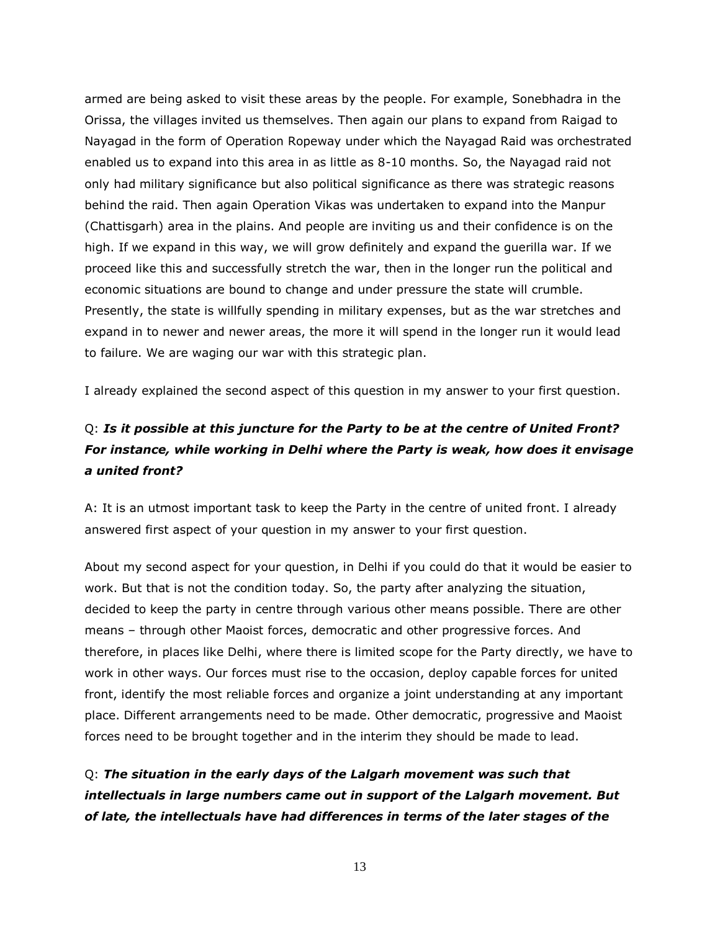armed are being asked to visit these areas by the people. For example, Sonebhadra in the Orissa, the villages invited us themselves. Then again our plans to expand from Raigad to Nayagad in the form of Operation Ropeway under which the Nayagad Raid was orchestrated enabled us to expand into this area in as little as 8-10 months. So, the Nayagad raid not only had military significance but also political significance as there was strategic reasons behind the raid. Then again Operation Vikas was undertaken to expand into the Manpur (Chattisgarh) area in the plains. And people are inviting us and their confidence is on the high. If we expand in this way, we will grow definitely and expand the guerilla war. If we proceed like this and successfully stretch the war, then in the longer run the political and economic situations are bound to change and under pressure the state will crumble. Presently, the state is willfully spending in military expenses, but as the war stretches and expand in to newer and newer areas, the more it will spend in the longer run it would lead to failure. We are waging our war with this strategic plan.

I already explained the second aspect of this question in my answer to your first question.

# Q: *Is it possible at this juncture for the Party to be at the centre of United Front? For instance, while working in Delhi where the Party is weak, how does it envisage a united front?*

A: It is an utmost important task to keep the Party in the centre of united front. I already answered first aspect of your question in my answer to your first question.

About my second aspect for your question, in Delhi if you could do that it would be easier to work. But that is not the condition today. So, the party after analyzing the situation, decided to keep the party in centre through various other means possible. There are other means – through other Maoist forces, democratic and other progressive forces. And therefore, in places like Delhi, where there is limited scope for the Party directly, we have to work in other ways. Our forces must rise to the occasion, deploy capable forces for united front, identify the most reliable forces and organize a joint understanding at any important place. Different arrangements need to be made. Other democratic, progressive and Maoist forces need to be brought together and in the interim they should be made to lead.

Q: *The situation in the early days of the Lalgarh movement was such that intellectuals in large numbers came out in support of the Lalgarh movement. But of late, the intellectuals have had differences in terms of the later stages of the*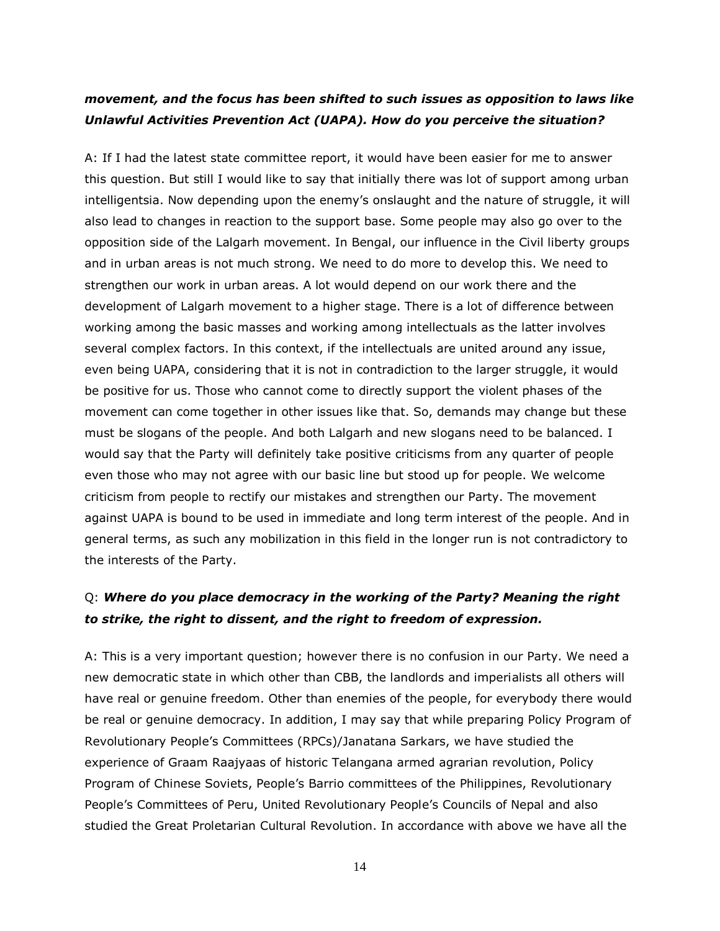### *movement, and the focus has been shifted to such issues as opposition to laws like Unlawful Activities Prevention Act (UAPA). How do you perceive the situation?*

A: If I had the latest state committee report, it would have been easier for me to answer this question. But still I would like to say that initially there was lot of support among urban intelligentsia. Now depending upon the enemy's onslaught and the nature of struggle, it will also lead to changes in reaction to the support base. Some people may also go over to the opposition side of the Lalgarh movement. In Bengal, our influence in the Civil liberty groups and in urban areas is not much strong. We need to do more to develop this. We need to strengthen our work in urban areas. A lot would depend on our work there and the development of Lalgarh movement to a higher stage. There is a lot of difference between working among the basic masses and working among intellectuals as the latter involves several complex factors. In this context, if the intellectuals are united around any issue, even being UAPA, considering that it is not in contradiction to the larger struggle, it would be positive for us. Those who cannot come to directly support the violent phases of the movement can come together in other issues like that. So, demands may change but these must be slogans of the people. And both Lalgarh and new slogans need to be balanced. I would say that the Party will definitely take positive criticisms from any quarter of people even those who may not agree with our basic line but stood up for people. We welcome criticism from people to rectify our mistakes and strengthen our Party. The movement against UAPA is bound to be used in immediate and long term interest of the people. And in general terms, as such any mobilization in this field in the longer run is not contradictory to the interests of the Party.

## Q: *Where do you place democracy in the working of the Party? Meaning the right to strike, the right to dissent, and the right to freedom of expression.*

A: This is a very important question; however there is no confusion in our Party. We need a new democratic state in which other than CBB, the landlords and imperialists all others will have real or genuine freedom. Other than enemies of the people, for everybody there would be real or genuine democracy. In addition, I may say that while preparing Policy Program of Revolutionary People's Committees (RPCs)/Janatana Sarkars, we have studied the experience of Graam Raajyaas of historic Telangana armed agrarian revolution, Policy Program of Chinese Soviets, People's Barrio committees of the Philippines, Revolutionary People's Committees of Peru, United Revolutionary People's Councils of Nepal and also studied the Great Proletarian Cultural Revolution. In accordance with above we have all the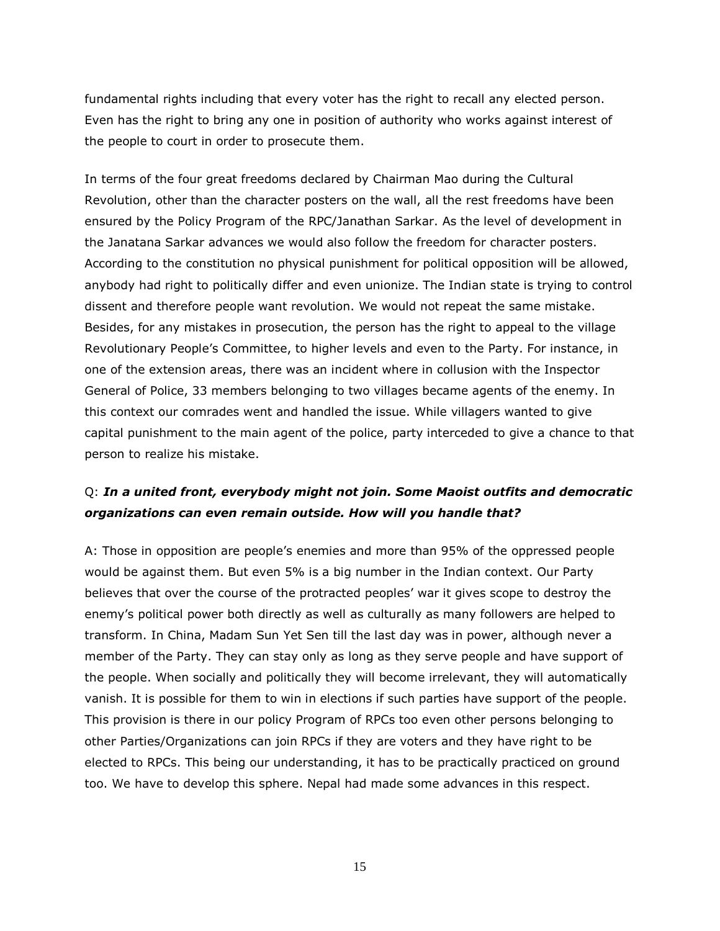fundamental rights including that every voter has the right to recall any elected person. Even has the right to bring any one in position of authority who works against interest of the people to court in order to prosecute them.

In terms of the four great freedoms declared by Chairman Mao during the Cultural Revolution, other than the character posters on the wall, all the rest freedoms have been ensured by the Policy Program of the RPC/Janathan Sarkar. As the level of development in the Janatana Sarkar advances we would also follow the freedom for character posters. According to the constitution no physical punishment for political opposition will be allowed, anybody had right to politically differ and even unionize. The Indian state is trying to control dissent and therefore people want revolution. We would not repeat the same mistake. Besides, for any mistakes in prosecution, the person has the right to appeal to the village Revolutionary People's Committee, to higher levels and even to the Party. For instance, in one of the extension areas, there was an incident where in collusion with the Inspector General of Police, 33 members belonging to two villages became agents of the enemy. In this context our comrades went and handled the issue. While villagers wanted to give capital punishment to the main agent of the police, party interceded to give a chance to that person to realize his mistake.

## Q: *In a united front, everybody might not join. Some Maoist outfits and democratic organizations can even remain outside. How will you handle that?*

A: Those in opposition are people's enemies and more than 95% of the oppressed people would be against them. But even 5% is a big number in the Indian context. Our Party believes that over the course of the protracted peoples' war it gives scope to destroy the enemy's political power both directly as well as culturally as many followers are helped to transform. In China, Madam Sun Yet Sen till the last day was in power, although never a member of the Party. They can stay only as long as they serve people and have support of the people. When socially and politically they will become irrelevant, they will automatically vanish. It is possible for them to win in elections if such parties have support of the people. This provision is there in our policy Program of RPCs too even other persons belonging to other Parties/Organizations can join RPCs if they are voters and they have right to be elected to RPCs. This being our understanding, it has to be practically practiced on ground too. We have to develop this sphere. Nepal had made some advances in this respect.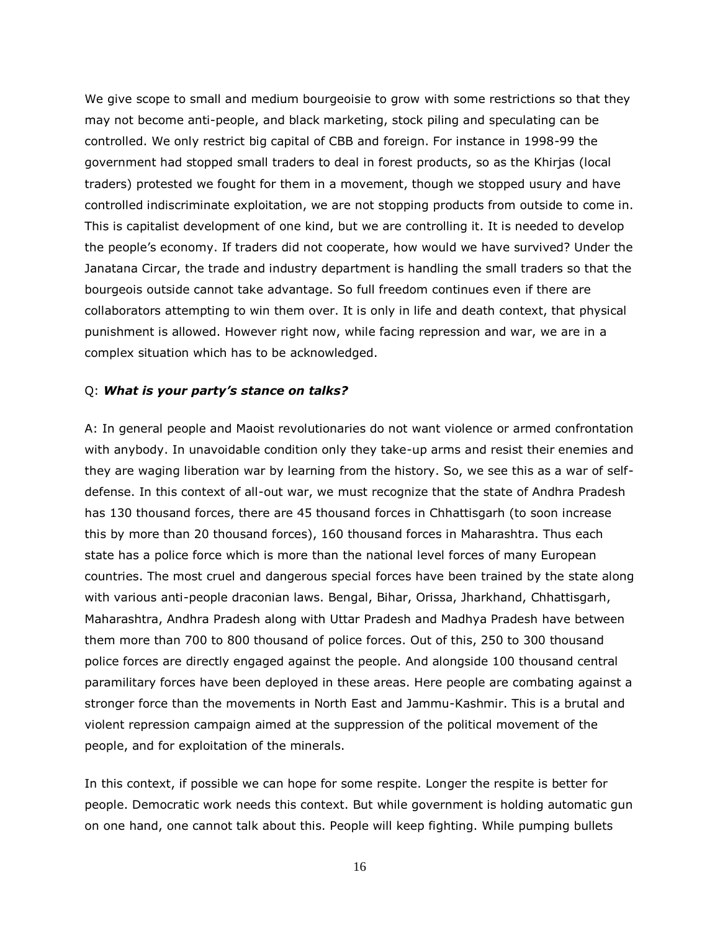We give scope to small and medium bourgeoisie to grow with some restrictions so that they may not become anti-people, and black marketing, stock piling and speculating can be controlled. We only restrict big capital of CBB and foreign. For instance in 1998-99 the government had stopped small traders to deal in forest products, so as the Khirjas (local traders) protested we fought for them in a movement, though we stopped usury and have controlled indiscriminate exploitation, we are not stopping products from outside to come in. This is capitalist development of one kind, but we are controlling it. It is needed to develop the people's economy. If traders did not cooperate, how would we have survived? Under the Janatana Circar, the trade and industry department is handling the small traders so that the bourgeois outside cannot take advantage. So full freedom continues even if there are collaborators attempting to win them over. It is only in life and death context, that physical punishment is allowed. However right now, while facing repression and war, we are in a complex situation which has to be acknowledged.

#### Q: *What is your party's stance on talks?*

A: In general people and Maoist revolutionaries do not want violence or armed confrontation with anybody. In unavoidable condition only they take-up arms and resist their enemies and they are waging liberation war by learning from the history. So, we see this as a war of selfdefense. In this context of all-out war, we must recognize that the state of Andhra Pradesh has 130 thousand forces, there are 45 thousand forces in Chhattisgarh (to soon increase this by more than 20 thousand forces), 160 thousand forces in Maharashtra. Thus each state has a police force which is more than the national level forces of many European countries. The most cruel and dangerous special forces have been trained by the state along with various anti-people draconian laws. Bengal, Bihar, Orissa, Jharkhand, Chhattisgarh, Maharashtra, Andhra Pradesh along with Uttar Pradesh and Madhya Pradesh have between them more than 700 to 800 thousand of police forces. Out of this, 250 to 300 thousand police forces are directly engaged against the people. And alongside 100 thousand central paramilitary forces have been deployed in these areas. Here people are combating against a stronger force than the movements in North East and Jammu-Kashmir. This is a brutal and violent repression campaign aimed at the suppression of the political movement of the people, and for exploitation of the minerals.

In this context, if possible we can hope for some respite. Longer the respite is better for people. Democratic work needs this context. But while government is holding automatic gun on one hand, one cannot talk about this. People will keep fighting. While pumping bullets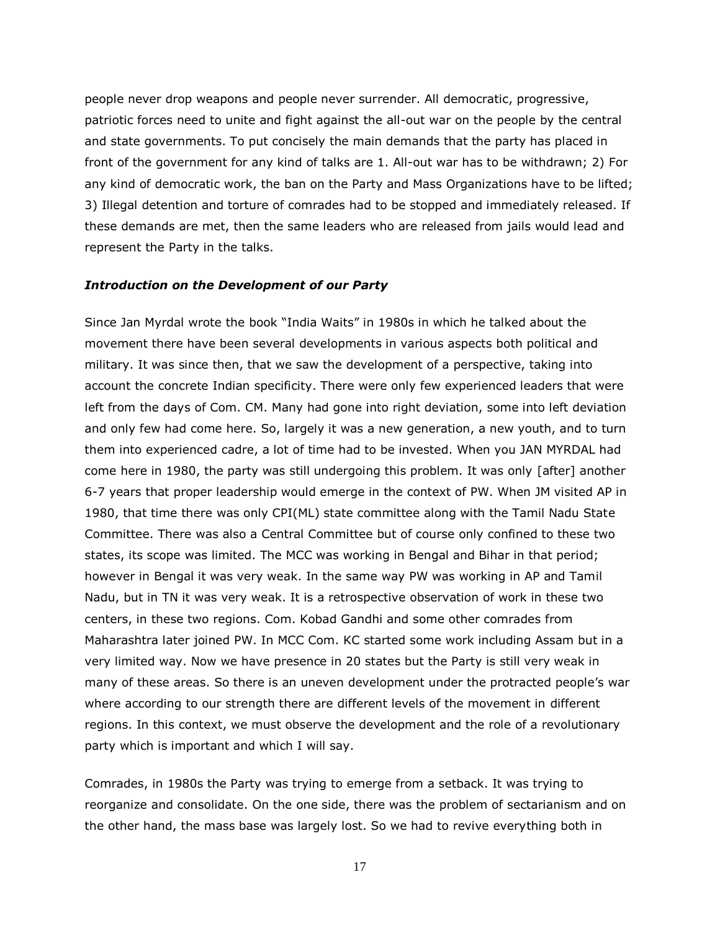people never drop weapons and people never surrender. All democratic, progressive, patriotic forces need to unite and fight against the all-out war on the people by the central and state governments. To put concisely the main demands that the party has placed in front of the government for any kind of talks are 1. All-out war has to be withdrawn; 2) For any kind of democratic work, the ban on the Party and Mass Organizations have to be lifted; 3) Illegal detention and torture of comrades had to be stopped and immediately released. If these demands are met, then the same leaders who are released from jails would lead and represent the Party in the talks.

#### *Introduction on the Development of our Party*

Since Jan Myrdal wrote the book "India Waits" in 1980s in which he talked about the movement there have been several developments in various aspects both political and military. It was since then, that we saw the development of a perspective, taking into account the concrete Indian specificity. There were only few experienced leaders that were left from the days of Com. CM. Many had gone into right deviation, some into left deviation and only few had come here. So, largely it was a new generation, a new youth, and to turn them into experienced cadre, a lot of time had to be invested. When you JAN MYRDAL had come here in 1980, the party was still undergoing this problem. It was only [after] another 6-7 years that proper leadership would emerge in the context of PW. When JM visited AP in 1980, that time there was only CPI(ML) state committee along with the Tamil Nadu State Committee. There was also a Central Committee but of course only confined to these two states, its scope was limited. The MCC was working in Bengal and Bihar in that period; however in Bengal it was very weak. In the same way PW was working in AP and Tamil Nadu, but in TN it was very weak. It is a retrospective observation of work in these two centers, in these two regions. Com. Kobad Gandhi and some other comrades from Maharashtra later joined PW. In MCC Com. KC started some work including Assam but in a very limited way. Now we have presence in 20 states but the Party is still very weak in many of these areas. So there is an uneven development under the protracted people's war where according to our strength there are different levels of the movement in different regions. In this context, we must observe the development and the role of a revolutionary party which is important and which I will say.

Comrades, in 1980s the Party was trying to emerge from a setback. It was trying to reorganize and consolidate. On the one side, there was the problem of sectarianism and on the other hand, the mass base was largely lost. So we had to revive everything both in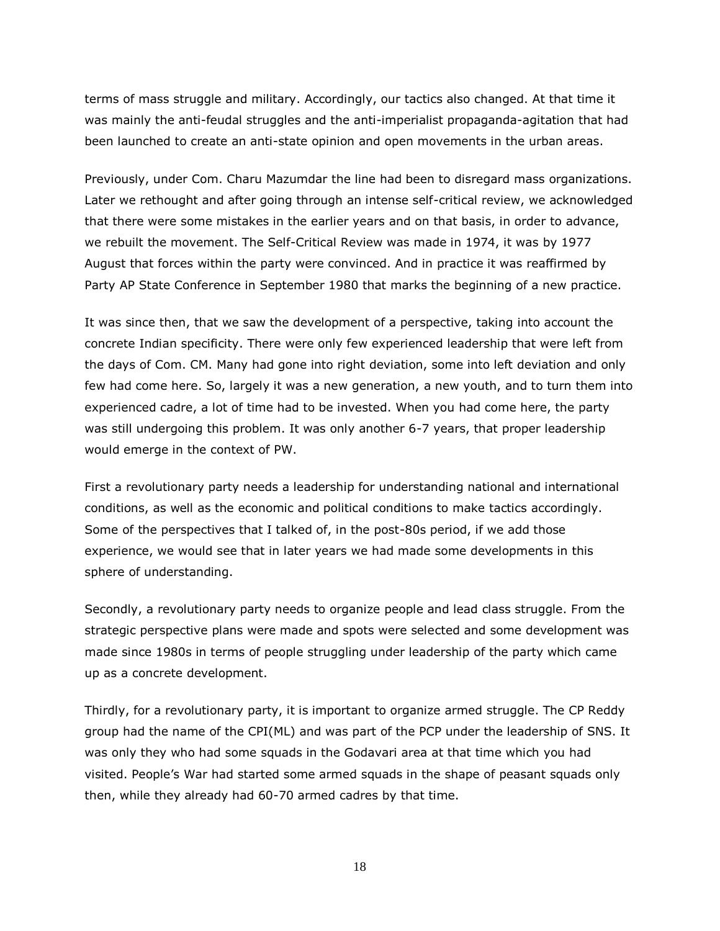terms of mass struggle and military. Accordingly, our tactics also changed. At that time it was mainly the anti-feudal struggles and the anti-imperialist propaganda-agitation that had been launched to create an anti-state opinion and open movements in the urban areas.

Previously, under Com. Charu Mazumdar the line had been to disregard mass organizations. Later we rethought and after going through an intense self-critical review, we acknowledged that there were some mistakes in the earlier years and on that basis, in order to advance, we rebuilt the movement. The Self-Critical Review was made in 1974, it was by 1977 August that forces within the party were convinced. And in practice it was reaffirmed by Party AP State Conference in September 1980 that marks the beginning of a new practice.

It was since then, that we saw the development of a perspective, taking into account the concrete Indian specificity. There were only few experienced leadership that were left from the days of Com. CM. Many had gone into right deviation, some into left deviation and only few had come here. So, largely it was a new generation, a new youth, and to turn them into experienced cadre, a lot of time had to be invested. When you had come here, the party was still undergoing this problem. It was only another 6-7 years, that proper leadership would emerge in the context of PW.

First a revolutionary party needs a leadership for understanding national and international conditions, as well as the economic and political conditions to make tactics accordingly. Some of the perspectives that I talked of, in the post-80s period, if we add those experience, we would see that in later years we had made some developments in this sphere of understanding.

Secondly, a revolutionary party needs to organize people and lead class struggle. From the strategic perspective plans were made and spots were selected and some development was made since 1980s in terms of people struggling under leadership of the party which came up as a concrete development.

Thirdly, for a revolutionary party, it is important to organize armed struggle. The CP Reddy group had the name of the CPI(ML) and was part of the PCP under the leadership of SNS. It was only they who had some squads in the Godavari area at that time which you had visited. People's War had started some armed squads in the shape of peasant squads only then, while they already had 60-70 armed cadres by that time.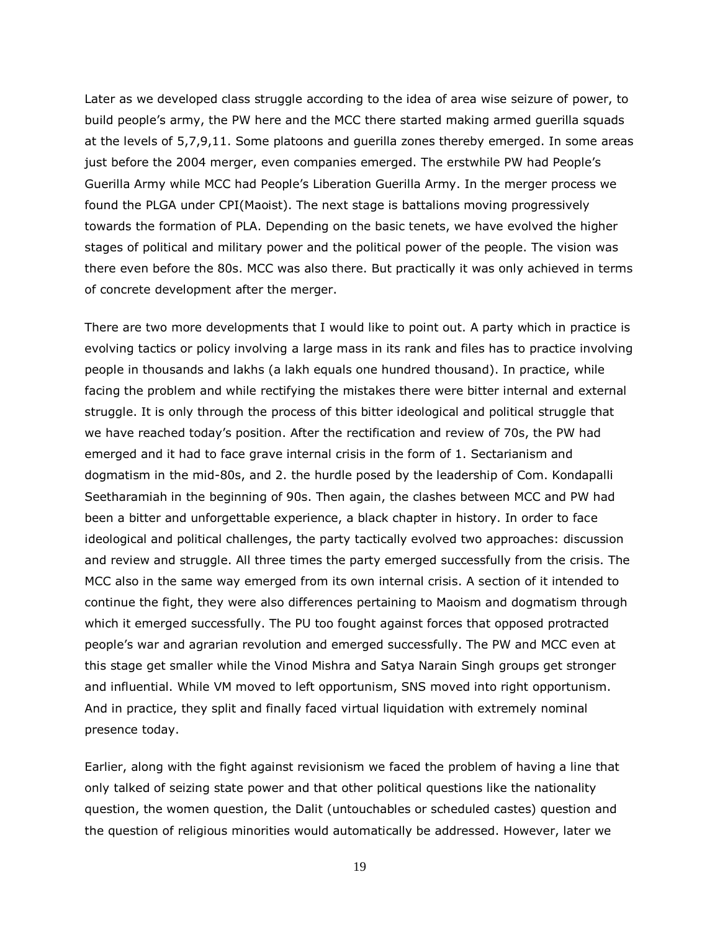Later as we developed class struggle according to the idea of area wise seizure of power, to build people's army, the PW here and the MCC there started making armed guerilla squads at the levels of 5,7,9,11. Some platoons and guerilla zones thereby emerged. In some areas just before the 2004 merger, even companies emerged. The erstwhile PW had People's Guerilla Army while MCC had People's Liberation Guerilla Army. In the merger process we found the PLGA under CPI(Maoist). The next stage is battalions moving progressively towards the formation of PLA. Depending on the basic tenets, we have evolved the higher stages of political and military power and the political power of the people. The vision was there even before the 80s. MCC was also there. But practically it was only achieved in terms of concrete development after the merger.

There are two more developments that I would like to point out. A party which in practice is evolving tactics or policy involving a large mass in its rank and files has to practice involving people in thousands and lakhs (a lakh equals one hundred thousand). In practice, while facing the problem and while rectifying the mistakes there were bitter internal and external struggle. It is only through the process of this bitter ideological and political struggle that we have reached today's position. After the rectification and review of 70s, the PW had emerged and it had to face grave internal crisis in the form of 1. Sectarianism and dogmatism in the mid-80s, and 2. the hurdle posed by the leadership of Com. Kondapalli Seetharamiah in the beginning of 90s. Then again, the clashes between MCC and PW had been a bitter and unforgettable experience, a black chapter in history. In order to face ideological and political challenges, the party tactically evolved two approaches: discussion and review and struggle. All three times the party emerged successfully from the crisis. The MCC also in the same way emerged from its own internal crisis. A section of it intended to continue the fight, they were also differences pertaining to Maoism and dogmatism through which it emerged successfully. The PU too fought against forces that opposed protracted people's war and agrarian revolution and emerged successfully. The PW and MCC even at this stage get smaller while the Vinod Mishra and Satya Narain Singh groups get stronger and influential. While VM moved to left opportunism, SNS moved into right opportunism. And in practice, they split and finally faced virtual liquidation with extremely nominal presence today.

Earlier, along with the fight against revisionism we faced the problem of having a line that only talked of seizing state power and that other political questions like the nationality question, the women question, the Dalit (untouchables or scheduled castes) question and the question of religious minorities would automatically be addressed. However, later we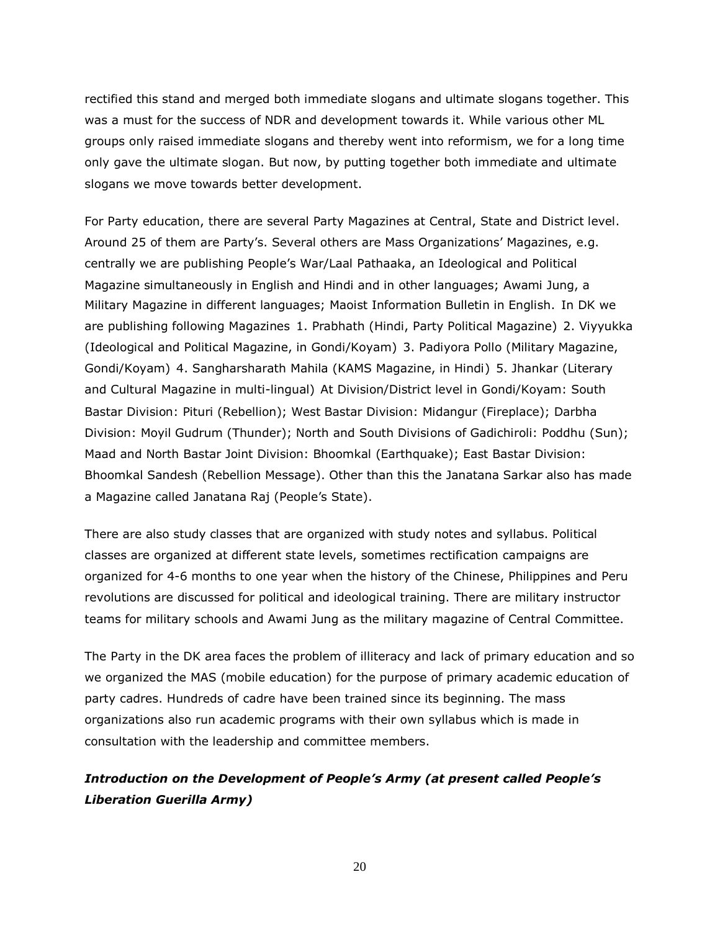rectified this stand and merged both immediate slogans and ultimate slogans together. This was a must for the success of NDR and development towards it. While various other ML groups only raised immediate slogans and thereby went into reformism, we for a long time only gave the ultimate slogan. But now, by putting together both immediate and ultimate slogans we move towards better development.

For Party education, there are several Party Magazines at Central, State and District level. Around 25 of them are Party's. Several others are Mass Organizations' Magazines, e.g. centrally we are publishing People's War/Laal Pathaaka, an Ideological and Political Magazine simultaneously in English and Hindi and in other languages; Awami Jung, a Military Magazine in different languages; Maoist Information Bulletin in English. In DK we are publishing following Magazines 1. Prabhath (Hindi, Party Political Magazine) 2. Viyyukka (Ideological and Political Magazine, in Gondi/Koyam) 3. Padiyora Pollo (Military Magazine, Gondi/Koyam) 4. Sangharsharath Mahila (KAMS Magazine, in Hindi) 5. Jhankar (Literary and Cultural Magazine in multi-lingual) At Division/District level in Gondi/Koyam: South Bastar Division: Pituri (Rebellion); West Bastar Division: Midangur (Fireplace); Darbha Division: Moyil Gudrum (Thunder); North and South Divisions of Gadichiroli: Poddhu (Sun); Maad and North Bastar Joint Division: Bhoomkal (Earthquake); East Bastar Division: Bhoomkal Sandesh (Rebellion Message). Other than this the Janatana Sarkar also has made a Magazine called Janatana Raj (People's State).

There are also study classes that are organized with study notes and syllabus. Political classes are organized at different state levels, sometimes rectification campaigns are organized for 4-6 months to one year when the history of the Chinese, Philippines and Peru revolutions are discussed for political and ideological training. There are military instructor teams for military schools and Awami Jung as the military magazine of Central Committee.

The Party in the DK area faces the problem of illiteracy and lack of primary education and so we organized the MAS (mobile education) for the purpose of primary academic education of party cadres. Hundreds of cadre have been trained since its beginning. The mass organizations also run academic programs with their own syllabus which is made in consultation with the leadership and committee members.

## *Introduction on the Development of People's Army (at present called People's Liberation Guerilla Army)*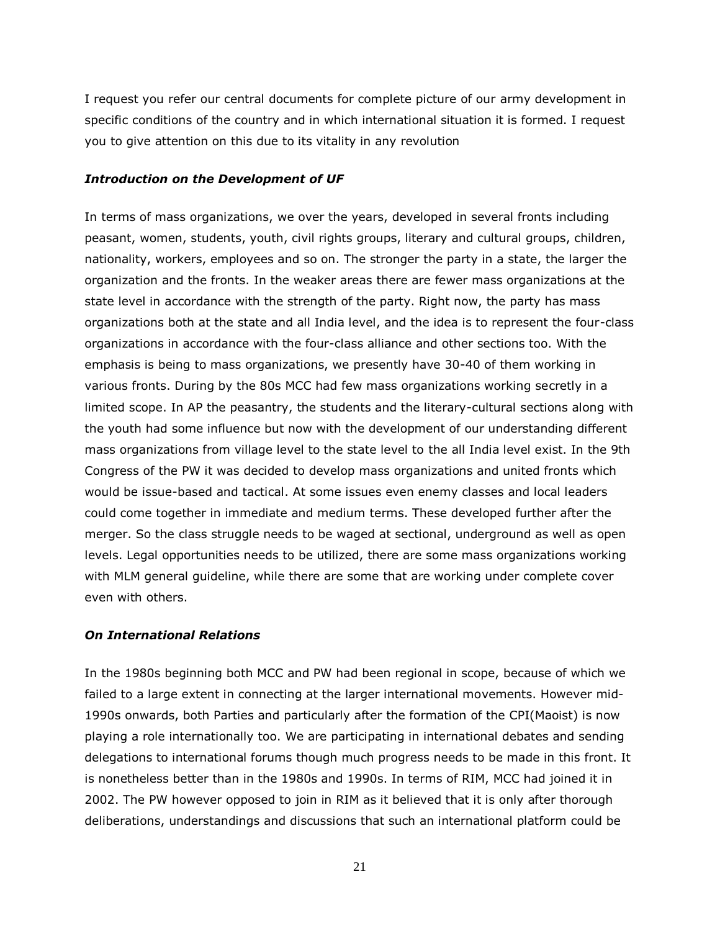I request you refer our central documents for complete picture of our army development in specific conditions of the country and in which international situation it is formed. I request you to give attention on this due to its vitality in any revolution

#### *Introduction on the Development of UF*

In terms of mass organizations, we over the years, developed in several fronts including peasant, women, students, youth, civil rights groups, literary and cultural groups, children, nationality, workers, employees and so on. The stronger the party in a state, the larger the organization and the fronts. In the weaker areas there are fewer mass organizations at the state level in accordance with the strength of the party. Right now, the party has mass organizations both at the state and all India level, and the idea is to represent the four-class organizations in accordance with the four-class alliance and other sections too. With the emphasis is being to mass organizations, we presently have 30-40 of them working in various fronts. During by the 80s MCC had few mass organizations working secretly in a limited scope. In AP the peasantry, the students and the literary-cultural sections along with the youth had some influence but now with the development of our understanding different mass organizations from village level to the state level to the all India level exist. In the 9th Congress of the PW it was decided to develop mass organizations and united fronts which would be issue-based and tactical. At some issues even enemy classes and local leaders could come together in immediate and medium terms. These developed further after the merger. So the class struggle needs to be waged at sectional, underground as well as open levels. Legal opportunities needs to be utilized, there are some mass organizations working with MLM general guideline, while there are some that are working under complete cover even with others.

#### *On International Relations*

In the 1980s beginning both MCC and PW had been regional in scope, because of which we failed to a large extent in connecting at the larger international movements. However mid-1990s onwards, both Parties and particularly after the formation of the CPI(Maoist) is now playing a role internationally too. We are participating in international debates and sending delegations to international forums though much progress needs to be made in this front. It is nonetheless better than in the 1980s and 1990s. In terms of RIM, MCC had joined it in 2002. The PW however opposed to join in RIM as it believed that it is only after thorough deliberations, understandings and discussions that such an international platform could be